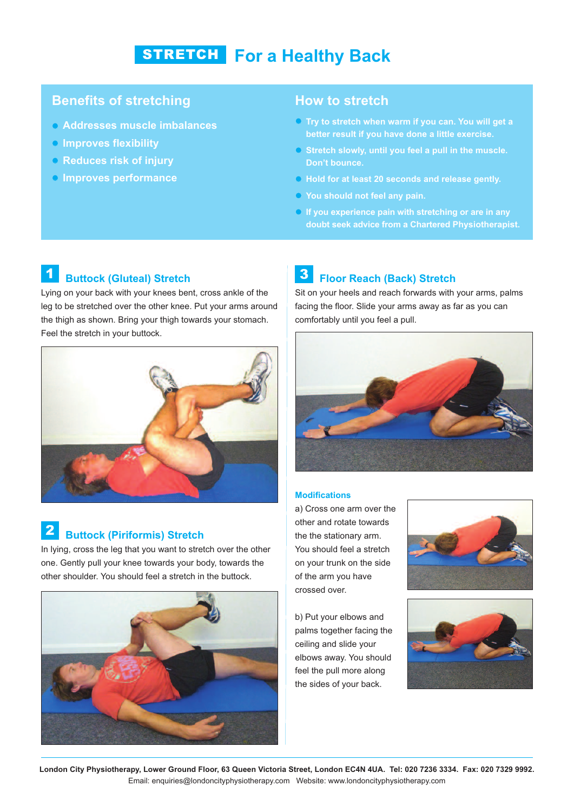# **For a Healthy Back** STRETCH

### **Benefits of stretching**

- **Addresses muscle imbalances**
- **Improves flexibility**
- **Reduces risk of injury**
- **Improves performance**

### **How to stretch**

- **Try to stretch when warm if you can. You will get a better result if you have done a little exercise.**
- **Stretch slowly, until you feel a pull in the muscle. Don't bounce.**
- **Hold for at least 20 seconds and release gently.**
- **You should not feel any pain.**
- **If you experience pain with stretching or are in any doubt seek advice from a Chartered Physiotherapist.**

#### **Buttock (Gluteal) Stretch** 1

Lying on your back with your knees bent, cross ankle of the leg to be stretched over the other knee. Put your arms around the thigh as shown. Bring your thigh towards your stomach. Feel the stretch in your buttock.



## **Buttock (Piriformis) Stretch** 2

In lying, cross the leg that you want to stretch over the other one. Gently pull your knee towards your body, towards the other shoulder. You should feel a stretch in the buttock.



#### **Floor Reach (Back) Stretch** 3

Sit on your heels and reach forwards with your arms, palms facing the floor. Slide your arms away as far as you can comfortably until you feel a pull.



#### **Modifications**

a) Cross one arm over the other and rotate towards the the stationary arm. You should feel a stretch on your trunk on the side of the arm you have crossed over.

b) Put your elbows and palms together facing the ceiling and slide your elbows away. You should feel the pull more along the sides of your back.





London City Physiotherapy, Lower Ground Floor, 63 Queen Victoria Street, London EC4N 4UA. Tel: 020 7236 3334. Fax: 020 7329 9992. Email: enquiries@londoncityphysiotherapy.com Website: www.londoncityphysiotherapy.com